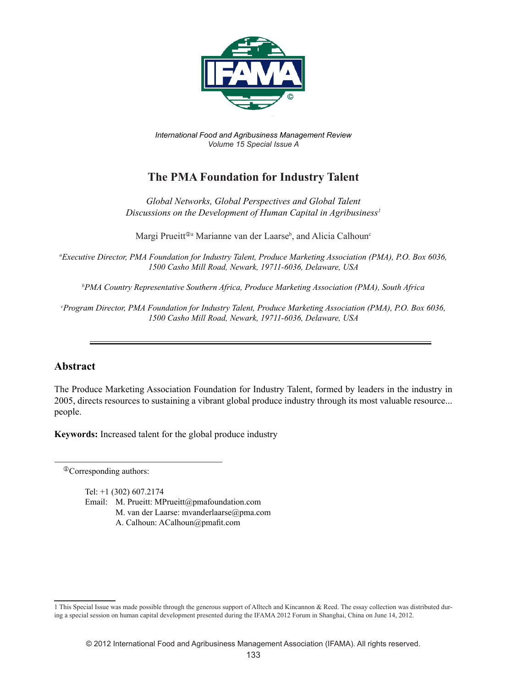

*International Food and Agribusiness Management Review Volume 15 Special Issue A*

## **The PMA Foundation for Industry Talent**

*Global Networks, Global Perspectives and Global Talent Discussions on the Development of Human Capital in Agribusiness1*

Margi Prueitt<sup>®a</sup> Marianne van der Laarse<sup>b</sup>, and Alicia Calhoun<sup>c</sup>

*a Executive Director, PMA Foundation for Industry Talent, Produce Marketing Association (PMA), P.O. Box 6036, 1500 Casho Mill Road, Newark, 19711-6036, Delaware, USA*

*b PMA Country Representative Southern Africa, Produce Marketing Association (PMA), South Africa*

*c Program Director, PMA Foundation for Industry Talent, Produce Marketing Association (PMA), P.O. Box 6036, 1500 Casho Mill Road, Newark, 19711-6036, Delaware, USA*

## **Abstract**

The Produce Marketing Association Foundation for Industry Talent, formed by leaders in the industry in 2005, directs resources to sustaining a vibrant global produce industry through its most valuable resource... people.

**Keywords:** Increased talent for the global produce industry

Corresponding authors:

Tel: +1 (302) 607.2174 Email: M. Prueitt: MPrueitt@pmafoundation.com M. van der Laarse: mvanderlaarse@pma.com A. Calhoun: ACalhoun@pmafit.com

<sup>1</sup> This Special Issue was made possible through the generous support of Alltech and Kincannon & Reed. The essay collection was distributed during a special session on human capital development presented during the IFAMA 2012 Forum in Shanghai, China on June 14, 2012.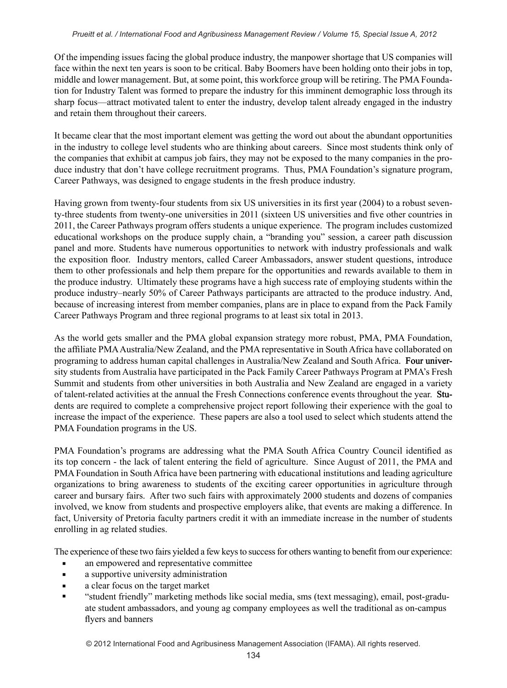Of the impending issues facing the global produce industry, the manpower shortage that US companies will face within the next ten years is soon to be critical. Baby Boomers have been holding onto their jobs in top, middle and lower management. But, at some point, this workforce group will be retiring. The PMA Foundation for Industry Talent was formed to prepare the industry for this imminent demographic loss through its sharp focus—attract motivated talent to enter the industry, develop talent already engaged in the industry and retain them throughout their careers.

It became clear that the most important element was getting the word out about the abundant opportunities in the industry to college level students who are thinking about careers. Since most students think only of the companies that exhibit at campus job fairs, they may not be exposed to the many companies in the produce industry that don't have college recruitment programs. Thus, PMA Foundation's signature program, Career Pathways, was designed to engage students in the fresh produce industry.

Having grown from twenty-four students from six US universities in its first year (2004) to a robust seventy-three students from twenty-one universities in 2011 (sixteen US universities and five other countries in 2011, the Career Pathways program offers students a unique experience. The program includes customized educational workshops on the produce supply chain, a "branding you" session, a career path discussion panel and more. Students have numerous opportunities to network with industry professionals and walk the exposition floor. Industry mentors, called Career Ambassadors, answer student questions, introduce them to other professionals and help them prepare for the opportunities and rewards available to them in the produce industry. Ultimately these programs have a high success rate of employing students within the produce industry–nearly 50% of Career Pathways participants are attracted to the produce industry. And, because of increasing interest from member companies, plans are in place to expand from the Pack Family Career Pathways Program and three regional programs to at least six total in 2013.

As the world gets smaller and the PMA global expansion strategy more robust, PMA, PMA Foundation, the affiliate PMA Australia/New Zealand, and the PMA representative in South Africa have collaborated on programing to address human capital challenges in Australia/New Zealand and South Africa. Four university students from Australia have participated in the Pack Family Career Pathways Program at PMA's Fresh Summit and students from other universities in both Australia and New Zealand are engaged in a variety of talent-related activities at the annual the Fresh Connections conference events throughout the year. Students are required to complete a comprehensive project report following their experience with the goal to increase the impact of the experience. These papers are also a tool used to select which students attend the PMA Foundation programs in the US.

PMA Foundation's programs are addressing what the PMA South Africa Country Council identified as its top concern - the lack of talent entering the field of agriculture. Since August of 2011, the PMA and PMA Foundation in South Africa have been partnering with educational institutions and leading agriculture organizations to bring awareness to students of the exciting career opportunities in agriculture through career and bursary fairs. After two such fairs with approximately 2000 students and dozens of companies involved, we know from students and prospective employers alike, that events are making a difference. In fact, University of Pretoria faculty partners credit it with an immediate increase in the number of students enrolling in ag related studies.

The experience of these two fairs yielded a few keys to success for others wanting to benefit from our experience:

- **a** an empowered and representative committee
- **a** supportive university administration
- a clear focus on the target market
- "student friendly" marketing methods like social media, sms (text messaging), email, post-graduate student ambassadors, and young ag company employees as well the traditional as on-campus flyers and banners